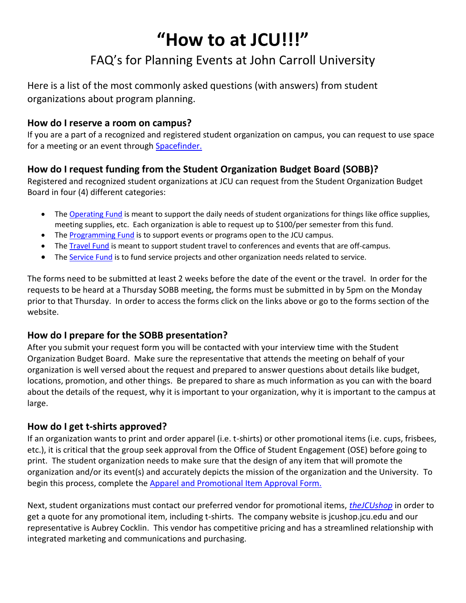# **"How to at JCU!!!"**

# FAQ's for Planning Events at John Carroll University

Here is a list of the most commonly asked questions (with answers) from student organizations about program planning.

#### **How do I reserve a room on campus?**

If you are a part of a recognized and registered student organization on campus, you can request to use space for a meeting or an event through Spacefinder.

# **How do I request funding from the Student Organization Budget Board (SOBB)?**

Registered and recognized student organizations at JCU can request from the Student Organization Budget Board in four (4) different categories:

- The [Operating Fund](https://johncarrolluniversity.wufoo.com/forms/s6x5m7/) is meant to support the daily needs of student organizations for things like office supplies, meeting supplies, etc. Each organization is able to request up to \$100/per semester from this fund.
- The [Programming Fund](https://johncarrolluniversity.wufoo.com/forms/s6x3x3/) is to support events or programs open to the JCU campus.
- The [Travel Fund](https://johncarrolluniversity.wufoo.com/forms/s6x3w5/) is meant to support student travel to conferences and events that are off-campus.
- The [Service Fund](https://johncarrolluniversity.wufoo.com/forms/s6x3r7/) is to fund service projects and other organization needs related to service.

The forms need to be submitted at least 2 weeks before the date of the event or the travel. In order for the requests to be heard at a Thursday SOBB meeting, the forms must be submitted in by 5pm on the Monday prior to that Thursday. In order to access the forms click on the links above or go to the forms section of the website.

# **How do I prepare for the SOBB presentation?**

After you submit your request form you will be contacted with your interview time with the Student Organization Budget Board. Make sure the representative that attends the meeting on behalf of your organization is well versed about the request and prepared to answer questions about details like budget, locations, promotion, and other things. Be prepared to share as much information as you can with the board about the details of the request, why it is important to your organization, why it is important to the campus at large.

# **How do I get t-shirts approved?**

If an organization wants to print and order apparel (i.e. t-shirts) or other promotional items (i.e. cups, frisbees, etc.), it is critical that the group seek approval from the Office of Student Engagement (OSE) before going to print. The student organization needs to make sure that the design of any item that will promote the organization and/or its event(s) and accurately depicts the mission of the organization and the University. To begin this process, complete the [Apparel and Promotional Item Approval Form.](http://sites.jcu.edu/studentactivities/pages/student-organizations/forms-and-resources/request-forms/apparel-promotional-item-approval-form/)

Next, student organizations must contact our preferred vendor for promotional items, *[theJCUshop](http://jcushop.jcu.edu/)* in order to get a quote for any promotional item, including t-shirts. The company website is jcushop.jcu.edu and our representative is Aubrey Cocklin. This vendor has competitive pricing and has a streamlined relationship with integrated marketing and communications and purchasing.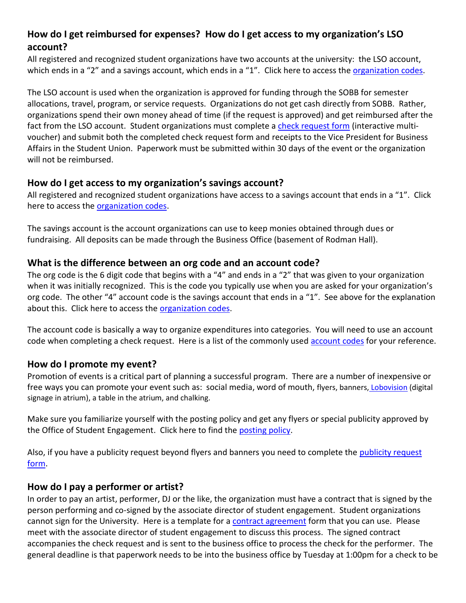# **How do I get reimbursed for expenses? How do I get access to my organization's LSO account?**

All registered and recognized student organizations have two accounts at the university: the LSO account, which ends in a "2" and a savings account, which ends in a "1". Click here to access the [organization codes.](http://sites.jcu.edu/studentactivities/pages/student-organizations/current-orgs/organization-numbers/)

The LSO account is used when the organization is approved for funding through the SOBB for semester allocations, travel, program, or service requests. Organizations do not get cash directly from SOBB. Rather, organizations spend their own money ahead of time (if the request is approved) and get reimbursed after the fact from the LSO account. Student organizations must complete a [check request form](http://webserv.jcu.edu/fas/links/forms.htm) (interactive multivoucher) and submit both the completed check request form and receipts to the Vice President for Business Affairs in the Student Union. Paperwork must be submitted within 30 days of the event or the organization will not be reimbursed.

#### **How do I get access to my organization's savings account?**

All registered and recognized student organizations have access to a savings account that ends in a "1". Click here to access the [organization codes.](http://sites.jcu.edu/studentactivities/pages/student-organizations/current-orgs/organization-numbers/)

The savings account is the account organizations can use to keep monies obtained through dues or fundraising. All deposits can be made through the Business Office (basement of Rodman Hall).

#### **What is the difference between an org code and an account code?**

The org code is the 6 digit code that begins with a "4" and ends in a "2" that was given to your organization when it was initially recognized. This is the code you typically use when you are asked for your organization's org code. The other "4" account code is the savings account that ends in a "1". See above for the explanation about this. Click here to access the [organization codes.](http://sites.jcu.edu/studentactivities/pages/student-organizations/current-orgs/organization-numbers/)

The account code is basically a way to organize expenditures into categories. You will need to use an account code when completing a check request. Here is a list of the commonly used [account codes](http://sites.jcu.edu/studentactivities/pages/student-organizations/current-orgs/budget-board-sobb/financial-information/account-codes/) for your reference.

# **How do I promote my event?**

Promotion of events is a critical part of planning a successful program. There are a number of inexpensive or free ways you can promote your event such as: social media, word of mouth, flyers, banners, [Lobovision](http://sites.jcu.edu/imc/pages/start-a-project-with-imc/digital-signage-request/) (digital signage in atrium), a table in the atrium, and chalking.

Make sure you familiarize yourself with the posting policy and get any flyers or special publicity approved by the Office of Student Engagement. Click here to find the [posting policy.](http://sites.jcu.edu/studentactivities/pages/student-organizations/policies-2/posting-policy/)

Also, if you have a [publicity request](http://sites.jcu.edu/studentactivities/pages/student-organizations/forms-and-resources/request-forms/publicity-request-form/) beyond flyers and banners you need to complete the publicity request [form.](http://sites.jcu.edu/studentactivities/pages/student-organizations/forms-and-resources/request-forms/publicity-request-form/)

#### **How do I pay a performer or artist?**

In order to pay an artist, performer, DJ or the like, the organization must have a contract that is signed by the person performing and co-signed by the associate director of student engagement. Student organizations cannot sign for the University. Here is a template for a [contract agreement](http://webmedia.jcu.edu/studentactivities/files/2016/01/ContractAgreementtemplateBLANK1.pdf) form that you can use. Please meet with the associate director of student engagement to discuss this process. The signed contract accompanies the check request and is sent to the business office to process the check for the performer. The general deadline is that paperwork needs to be into the business office by Tuesday at 1:00pm for a check to be